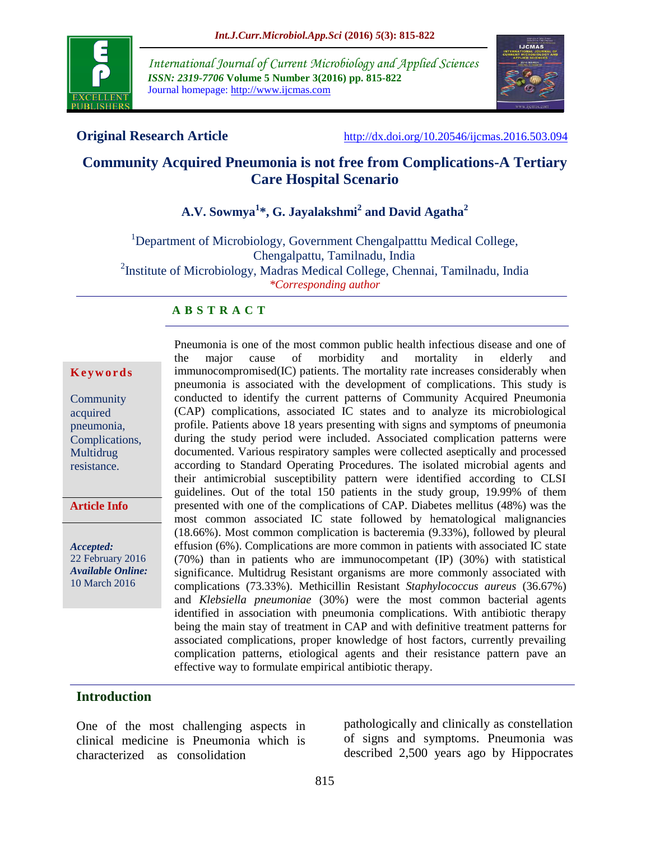

*International Journal of Current Microbiology and Applied Sciences ISSN: 2319-7706* **Volume 5 Number 3(2016) pp. 815-822** Journal homepage: http://www.ijcmas.com



**Original Research Article** <http://dx.doi.org/10.20546/ijcmas.2016.503.094>

# **Community Acquired Pneumonia is not free from Complications-A Tertiary Care Hospital Scenario**

# **A.V. Sowmya<sup>1</sup> \*, G. Jayalakshmi<sup>2</sup> and David Agatha<sup>2</sup>**

<sup>1</sup>Department of Microbiology, Government Chengalpatttu Medical College, Chengalpattu, Tamilnadu, India <sup>2</sup>Institute of Microbiology, Madras Medical College, Chennai, Tamilnadu, India *\*Corresponding author*

## **A B S T R A C T**

#### **K e y w o r d s**

**Community** acquired pneumonia, Complications, Multidrug resistance.

**Article Info**

*Accepted:*  22 February 2016 *Available Online:* 10 March 2016

Pneumonia is one of the most common public health infectious disease and one of the major cause of morbidity and mortality in elderly and immunocompromised(IC) patients. The mortality rate increases considerably when pneumonia is associated with the development of complications. This study is conducted to identify the current patterns of Community Acquired Pneumonia (CAP) complications, associated IC states and to analyze its microbiological profile. Patients above 18 years presenting with signs and symptoms of pneumonia during the study period were included. Associated complication patterns were documented. Various respiratory samples were collected aseptically and processed according to Standard Operating Procedures. The isolated microbial agents and their antimicrobial susceptibility pattern were identified according to CLSI guidelines. Out of the total 150 patients in the study group, 19.99% of them presented with one of the complications of CAP. Diabetes mellitus (48%) was the most common associated IC state followed by hematological malignancies (18.66%). Most common complication is bacteremia (9.33%), followed by pleural effusion (6%). Complications are more common in patients with associated IC state (70%) than in patients who are immunocompetant (IP) (30%) with statistical significance. Multidrug Resistant organisms are more commonly associated with complications (73.33%). Methicillin Resistant *Staphylococcus aureus* (36.67%) and *Klebsiella pneumoniae* (30%) were the most common bacterial agents identified in association with pneumonia complications. With antibiotic therapy being the main stay of treatment in CAP and with definitive treatment patterns for associated complications, proper knowledge of host factors, currently prevailing complication patterns, etiological agents and their resistance pattern pave an effective way to formulate empirical antibiotic therapy.

## **Introduction**

One of the most challenging aspects in clinical medicine is Pneumonia which is characterized as consolidation

pathologically and clinically as constellation of signs and symptoms. Pneumonia was described 2,500 years ago by Hippocrates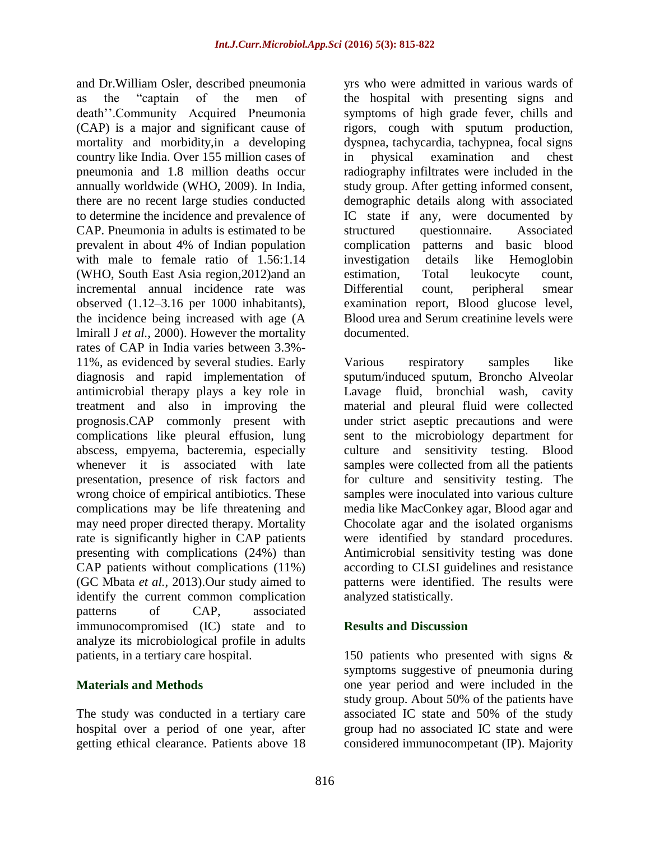and Dr.William Osler, described pneumonia as the "captain of the men of death''.Community Acquired Pneumonia (CAP) is a major and significant cause of mortality and morbidity,in a developing country like India. Over 155 million cases of pneumonia and 1.8 million deaths occur annually worldwide (WHO, 2009). In India, there are no recent large studies conducted to determine the incidence and prevalence of CAP. Pneumonia in adults is estimated to be prevalent in about 4% of Indian population with male to female ratio of 1.56:1.14 (WHO, South East Asia region,2012)and an incremental annual incidence rate was observed (1.12–3.16 per 1000 inhabitants), the incidence being increased with age (A lmirall J *et al.*, 2000). However the mortality rates of CAP in India varies between 3.3%- 11%, as evidenced by several studies. Early diagnosis and rapid implementation of antimicrobial therapy plays a key role in treatment and also in improving the prognosis.CAP commonly present with complications like pleural effusion, lung abscess, empyema, bacteremia, especially whenever it is associated with late presentation, presence of risk factors and wrong choice of empirical antibiotics. These complications may be life threatening and may need proper directed therapy. Mortality rate is significantly higher in CAP patients presenting with complications (24%) than CAP patients without complications (11%) (GC Mbata *et al.*, 2013).Our study aimed to identify the current common complication patterns of CAP, associated immunocompromised (IC) state and to analyze its microbiological profile in adults patients, in a tertiary care hospital.

# **Materials and Methods**

The study was conducted in a tertiary care hospital over a period of one year, after getting ethical clearance. Patients above 18

yrs who were admitted in various wards of the hospital with presenting signs and symptoms of high grade fever, chills and rigors, cough with sputum production, dyspnea, tachycardia, tachypnea, focal signs in physical examination and chest radiography infiltrates were included in the study group. After getting informed consent, demographic details along with associated IC state if any, were documented by structured questionnaire. Associated complication patterns and basic blood investigation details like Hemoglobin estimation, Total leukocyte count, Differential count, peripheral smear examination report, Blood glucose level, Blood urea and Serum creatinine levels were documented.

Various respiratory samples like sputum/induced sputum, Broncho Alveolar Lavage fluid, bronchial wash, cavity material and pleural fluid were collected under strict aseptic precautions and were sent to the microbiology department for culture and sensitivity testing. Blood samples were collected from all the patients for culture and sensitivity testing. The samples were inoculated into various culture media like MacConkey agar, Blood agar and Chocolate agar and the isolated organisms were identified by standard procedures. Antimicrobial sensitivity testing was done according to CLSI guidelines and resistance patterns were identified. The results were analyzed statistically.

# **Results and Discussion**

150 patients who presented with signs & symptoms suggestive of pneumonia during one year period and were included in the study group. About 50% of the patients have associated IC state and 50% of the study group had no associated IC state and were considered immunocompetant (IP). Majority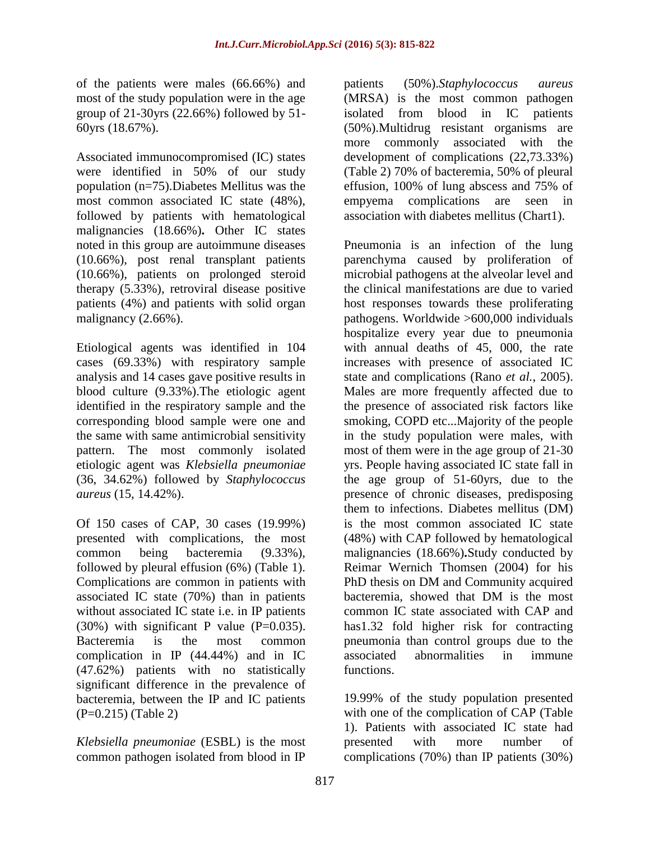of the patients were males (66.66%) and most of the study population were in the age group of 21-30yrs (22.66%) followed by 51- 60yrs (18.67%).

Associated immunocompromised (IC) states were identified in 50% of our study population (n=75).Diabetes Mellitus was the most common associated IC state (48%), followed by patients with hematological malignancies (18.66%)**.** Other IC states noted in this group are autoimmune diseases (10.66%), post renal transplant patients (10.66%), patients on prolonged steroid therapy (5.33%), retroviral disease positive patients (4%) and patients with solid organ malignancy (2.66%).

Etiological agents was identified in 104 cases (69.33%) with respiratory sample analysis and 14 cases gave positive results in blood culture (9.33%).The etiologic agent identified in the respiratory sample and the corresponding blood sample were one and the same with same antimicrobial sensitivity pattern. The most commonly isolated etiologic agent was *Klebsiella pneumoniae* (36, 34.62%) followed by *Staphylococcus aureus* (15, 14.42%).

Of 150 cases of CAP, 30 cases (19.99%) presented with complications, the most common being bacteremia (9.33%), followed by pleural effusion (6%) (Table 1). Complications are common in patients with associated IC state (70%) than in patients without associated IC state i.e. in IP patients  $(30\%)$  with significant P value  $(P=0.035)$ . Bacteremia is the most common complication in IP (44.44%) and in IC (47.62%) patients with no statistically significant difference in the prevalence of bacteremia, between the IP and IC patients (P=0.215) (Table 2)

*Klebsiella pneumoniae* (ESBL) is the most common pathogen isolated from blood in IP

patients (50%).*Staphylococcus aureus*  (MRSA) is the most common pathogen isolated from blood in IC patients (50%).Multidrug resistant organisms are more commonly associated with the development of complications (22,73.33%) (Table 2) 70% of bacteremia, 50% of pleural effusion, 100% of lung abscess and 75% of empyema complications are seen in association with diabetes mellitus (Chart1).

Pneumonia is an infection of the lung parenchyma caused by proliferation of microbial pathogens at the alveolar level and the clinical manifestations are due to varied host responses towards these proliferating pathogens. Worldwide >600,000 individuals hospitalize every year due to pneumonia with annual deaths of 45, 000, the rate increases with presence of associated IC state and complications (Rano *et al.*, 2005). Males are more frequently affected due to the presence of associated risk factors like smoking, COPD etc...Majority of the people in the study population were males, with most of them were in the age group of 21-30 yrs. People having associated IC state fall in the age group of 51-60yrs, due to the presence of chronic diseases, predisposing them to infections. Diabetes mellitus (DM) is the most common associated IC state (48%) with CAP followed by hematological malignancies (18.66%)**.**Study conducted by Reimar Wernich Thomsen (2004) for his PhD thesis on DM and Community acquired bacteremia, showed that DM is the most common IC state associated with CAP and has1.32 fold higher risk for contracting pneumonia than control groups due to the associated abnormalities in immune functions.

19.99% of the study population presented with one of the complication of CAP (Table 1). Patients with associated IC state had presented with more number of complications (70%) than IP patients (30%)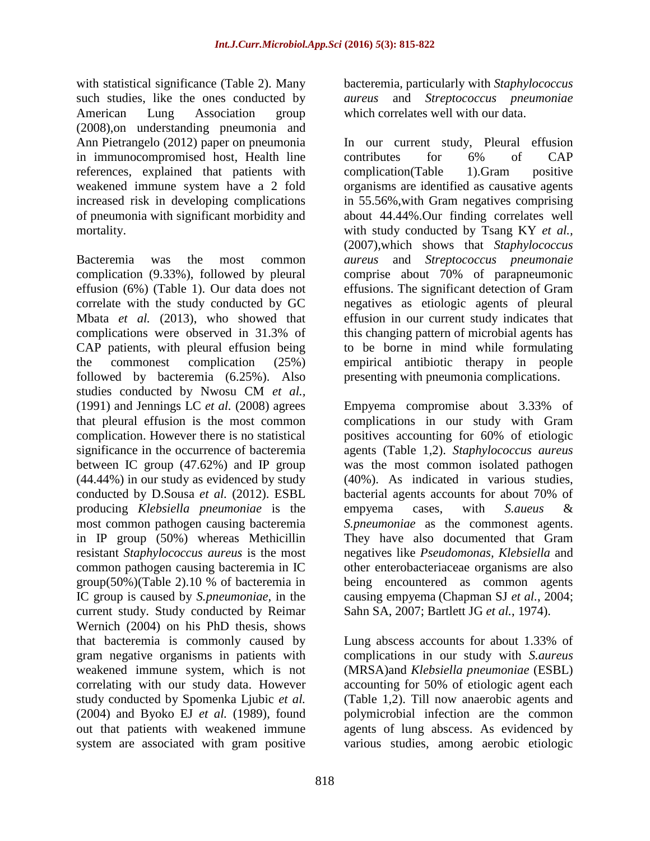with statistical significance (Table 2). Many such studies, like the ones conducted by American Lung Association group (2008),on understanding pneumonia and Ann Pietrangelo (2012) paper on pneumonia in immunocompromised host, Health line references, explained that patients with weakened immune system have a 2 fold increased risk in developing complications of pneumonia with significant morbidity and mortality.

Bacteremia was the most common complication (9.33%), followed by pleural effusion (6%) (Table 1). Our data does not correlate with the study conducted by GC Mbata *et al.* (2013), who showed that complications were observed in 31.3% of CAP patients, with pleural effusion being the commonest complication (25%) followed by bacteremia (6.25%). Also studies conducted by Nwosu CM *et al.,* (1991) and Jennings LC *et al.* (2008) agrees that pleural effusion is the most common complication. However there is no statistical significance in the occurrence of bacteremia between IC group (47.62%) and IP group (44.44%) in our study as evidenced by study conducted by D.Sousa *et al.* (2012). ESBL producing *Klebsiella pneumoniae* is the most common pathogen causing bacteremia in IP group (50%) whereas Methicillin resistant *Staphylococcus aureus* is the most common pathogen causing bacteremia in IC group(50%)(Table 2).10 % of bacteremia in IC group is caused by *S.pneumoniae*, in the current study. Study conducted by Reimar Wernich (2004) on his PhD thesis, shows that bacteremia is commonly caused by gram negative organisms in patients with weakened immune system, which is not correlating with our study data. However study conducted by Spomenka Ljubic *et al.* (2004) and Byoko EJ *et al.* (1989), found out that patients with weakened immune system are associated with gram positive

bacteremia, particularly with *Staphylococcus aureus* and *Streptococcus pneumoniae* which correlates well with our data.

In our current study, Pleural effusion contributes for 6% of CAP complication(Table 1).Gram positive organisms are identified as causative agents in 55.56%,with Gram negatives comprising about 44.44%.Our finding correlates well with study conducted by Tsang KY *et al.,* (2007),which shows that *Staphylococcus aureus* and *Streptococcus pneumonaie* comprise about 70% of parapneumonic effusions. The significant detection of Gram negatives as etiologic agents of pleural effusion in our current study indicates that this changing pattern of microbial agents has to be borne in mind while formulating empirical antibiotic therapy in people presenting with pneumonia complications.

Empyema compromise about 3.33% of complications in our study with Gram positives accounting for 60% of etiologic agents (Table 1,2). *Staphylococcus aureus* was the most common isolated pathogen (40%). As indicated in various studies, bacterial agents accounts for about 70% of empyema cases, with *S.aueus* & *S.pneumoniae* as the commonest agents. They have also documented that Gram negatives like *Pseudomonas, Klebsiella* and other enterobacteriaceae organisms are also being encountered as common agents causing empyema (Chapman SJ *et al.*, 2004; Sahn SA, 2007; Bartlett JG *et al.*, 1974).

Lung abscess accounts for about 1.33% of complications in our study with *S.aureus* (MRSA)and *Klebsiella pneumoniae* (ESBL) accounting for 50% of etiologic agent each (Table 1,2). Till now anaerobic agents and polymicrobial infection are the common agents of lung abscess. As evidenced by various studies, among aerobic etiologic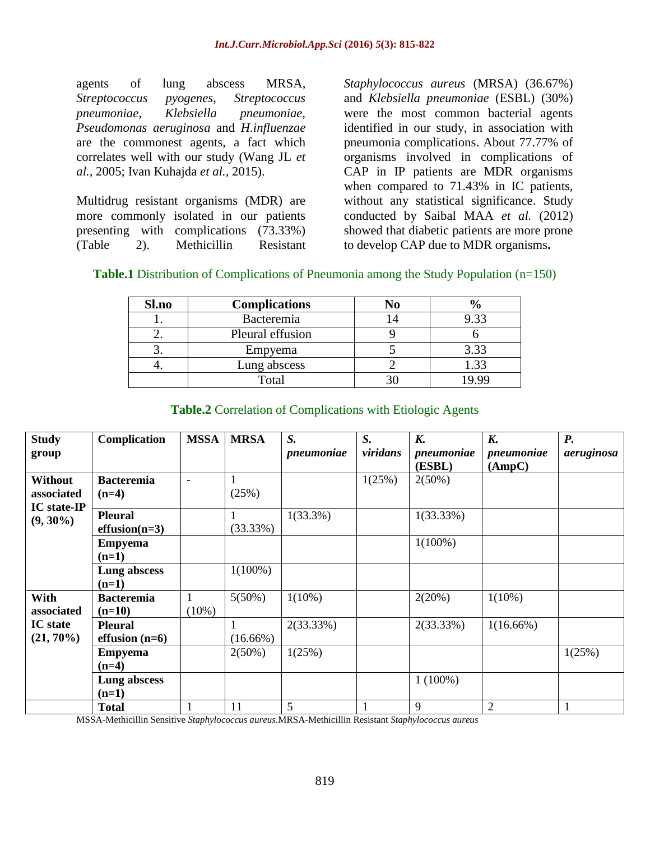agents of lung abscess MRSA, *Streptococcus pyogenes*, *Streptococcus pneumoniae, Klebsiella pneumoniae, Pseudomonas aeruginosa* and *H.influenzae* are the commonest agents, a fact which correlates well with our study (Wang JL *et al.*, 2005; [Ivan Kuhajda](http://www.ncbi.nlm.nih.gov/pubmed/?term=Kuhajda%20I%5Bauth%5D) *et al.*, 2015).

Multidrug resistant organisms (MDR) are more commonly isolated in our patients presenting with complications (73.33%) (Table 2). Methicillin Resistant *Staphylococcus aureus* (MRSA) (36.67%) and *Klebsiella pneumoniae* (ESBL) (30%) were the most common bacterial agents identified in our study, in association with pneumonia complications. About 77.77% of organisms involved in complications of CAP in IP patients are MDR organisms when compared to 71.43% in IC patients, without any statistical significance. Study conducted by Saibal MAA *et al.* (2012) showed that diabetic patients are more prone to develop CAP due to MDR organisms**.**

| <b>Table.1</b> Distribution of Complications of Pneumonia among the Study Population (n=150) |  |  |  |
|----------------------------------------------------------------------------------------------|--|--|--|
|----------------------------------------------------------------------------------------------|--|--|--|

| Sl.no | <b>Complications</b> | No |      |
|-------|----------------------|----|------|
|       | Bacteremia           |    | 9.33 |
| - -   | Pleural effusion     |    |      |
| ິ.    | Empyema              |    | 3.33 |
|       | Lung abscess         |    | .33  |
|       | Total                |    |      |

| <b>Study</b>                                | Complication                       | <b>MSSA</b>              | <b>MRSA</b> | S.          | S.       | <b>K.</b>            | <b>K.</b>            | <b>P.</b>  |
|---------------------------------------------|------------------------------------|--------------------------|-------------|-------------|----------|----------------------|----------------------|------------|
| group                                       |                                    |                          |             | pneumoniae  | viridans | pneumoniae<br>(ESBL) | pneumoniae<br>(AmpC) | aeruginosa |
| Without<br>associated<br><b>IC</b> state-IP | <b>Bacteremia</b><br>$(n=4)$       | $\overline{\phantom{a}}$ | (25%)       |             | 1(25%)   | $2(50\%)$            |                      |            |
| $(9, 30\%)$                                 | <b>Pleural</b><br>$effusion(n=3)$  |                          | (33.33%)    | $1(33.3\%)$ |          | $1(33.33\%)$         |                      |            |
|                                             | <b>Empyema</b><br>$(n=1)$          |                          |             |             |          | $1(100\%)$           |                      |            |
|                                             | Lung abscess<br>$(n=1)$            |                          | $1(100\%)$  |             |          |                      |                      |            |
| With<br>associated                          | <b>Bacteremia</b><br>$(n=10)$      | 1<br>$(10\%)$            | $5(50\%)$   | $1(10\%)$   |          | 2(20%)               | $1(10\%)$            |            |
| <b>IC</b> state<br>$(21, 70\%)$             | <b>Pleural</b><br>effusion $(n=6)$ |                          | $(16.66\%)$ | 2(33.33%)   |          | 2(33.33%)            | $1(16.66\%)$         |            |
|                                             | <b>Empyema</b><br>$(n=4)$          |                          | $2(50\%)$   | 1(25%)      |          |                      |                      | 1(25%)     |
|                                             | Lung abscess<br>$(n=1)$            |                          |             |             |          | $1(100\%)$           |                      |            |
|                                             | <b>Total</b>                       |                          | 11          | 5           | 1        | 9                    | $\overline{c}$       |            |

### **Table.2** Correlation of Complications with Etiologic Agents

MSSA-Methicillin Sensitive *Staphylococcus aureus*.MRSA-Methicillin Resistant *Staphylococcus aureus*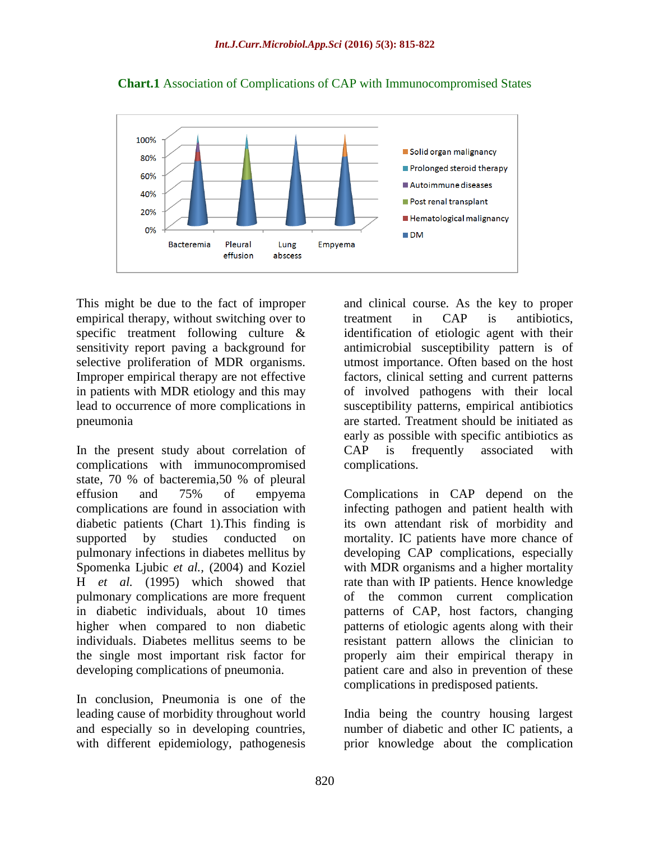

**Chart.1** Association of Complications of CAP with Immunocompromised States

This might be due to the fact of improper empirical therapy, without switching over to specific treatment following culture & sensitivity report paving a background for selective proliferation of MDR organisms. Improper empirical therapy are not effective in patients with MDR etiology and this may lead to occurrence of more complications in pneumonia

In the present study about correlation of complications with immunocompromised state, 70 % of bacteremia,50 % of pleural effusion and 75% of empyema complications are found in association with diabetic patients (Chart 1).This finding is supported by studies conducted on pulmonary infections in diabetes mellitus by Spomenka Ljubic *et al.,* (2004) and Koziel H *et al.* (1995) which showed that pulmonary complications are more frequent in diabetic individuals, about 10 times higher when compared to non diabetic individuals. Diabetes mellitus seems to be the single most important risk factor for developing complications of pneumonia.

In conclusion, Pneumonia is one of the leading cause of morbidity throughout world and especially so in developing countries, with different epidemiology, pathogenesis

and clinical course. As the key to proper treatment in CAP is antibiotics, identification of etiologic agent with their antimicrobial susceptibility pattern is of utmost importance. Often based on the host factors, clinical setting and current patterns of involved pathogens with their local susceptibility patterns, empirical antibiotics are started. Treatment should be initiated as early as possible with specific antibiotics as CAP is frequently associated with complications.

Complications in CAP depend on the infecting pathogen and patient health with its own attendant risk of morbidity and mortality. IC patients have more chance of developing CAP complications, especially with MDR organisms and a higher mortality rate than with IP patients. Hence knowledge of the common current complication patterns of CAP, host factors, changing patterns of etiologic agents along with their resistant pattern allows the clinician to properly aim their empirical therapy in patient care and also in prevention of these complications in predisposed patients.

India being the country housing largest number of diabetic and other IC patients, a prior knowledge about the complication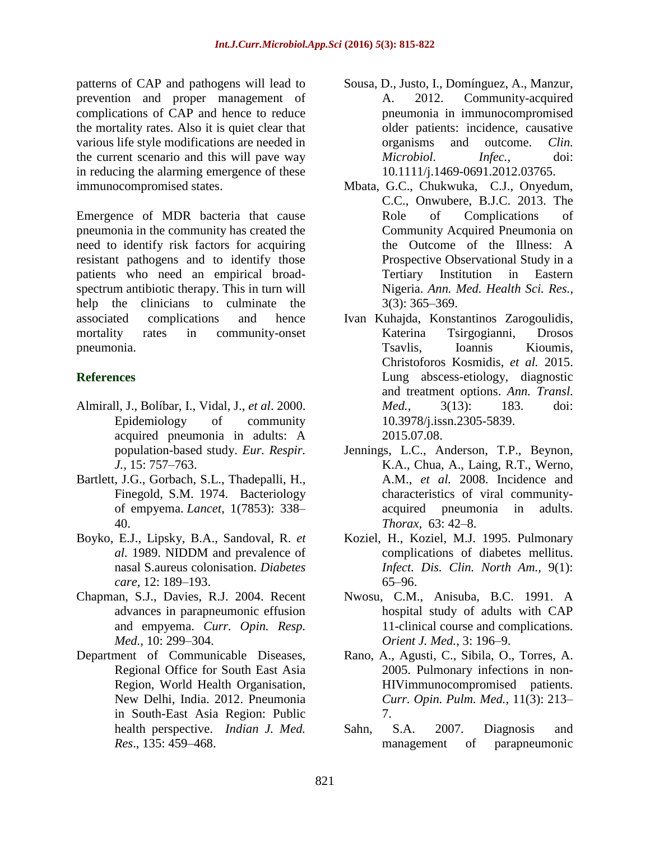patterns of CAP and pathogens will lead to prevention and proper management of complications of CAP and hence to reduce the mortality rates. Also it is quiet clear that various life style modifications are needed in the current scenario and this will pave way in reducing the alarming emergence of these immunocompromised states.

Emergence of MDR bacteria that cause pneumonia in the community has created the need to identify risk factors for acquiring resistant pathogens and to identify those patients who need an empirical broadspectrum antibiotic therapy. This in turn will help the clinicians to culminate the associated complications and hence mortality rates in community-onset pneumonia.

# **References**

- Almirall, J., Bolíbar, I., Vidal, J., *et al*. 2000. Epidemiology of community acquired pneumonia in adults: A population-based study. *Eur. Respir. J.,* 15: 757–763.
- Bartlett, J.G., Gorbach, S.L., Thadepalli, H., Finegold, S.M. 1974. Bacteriology of empyema. *Lancet,* 1(7853): 338– 40.
- Boyko, E.J., Lipsky, B.A., Sandoval, R. *et al.* 1989. NIDDM and prevalence of nasal S.aureus colonisation. *Diabetes care,* 12: 189–193.
- Chapman, S.J., Davies, R.J. 2004. Recent advances in parapneumonic effusion and empyema. *Curr. Opin. Resp. Med.,* 10: 299–304.
- Department of Communicable Diseases, Regional Office for South East Asia Region, World Health Organisation, New Delhi, India. 2012. Pneumonia in South-East Asia Region: Public health perspective. *Indian J. Med. Res*., 135: 459–468.
- Sousa, D., Justo, I., Domínguez, A., Manzur, A. 2012. Community-acquired pneumonia in immunocompromised older patients: incidence, causative organisms and outcome. *Clin. Microbiol. Infec.,* doi: 10.1111/j.1469-0691.2012.03765.
- Mbata, G.C., Chukwuka, C.J., Onyedum, C.C., Onwubere, B.J.C. 2013. The Role of Complications of Community Acquired Pneumonia on the Outcome of the Illness: A Prospective Observational Study in a Tertiary Institution in Eastern Nigeria. *Ann. Med. Health Sci. Res.,*  3(3): 365–369.
- [Ivan Kuhajda,](http://www.ncbi.nlm.nih.gov/pubmed/?term=Kuhajda%20I%5Bauth%5D) [Konstantinos Zarogoulidis,](http://www.ncbi.nlm.nih.gov/pubmed/?term=Zarogoulidis%20K%5Bauth%5D) [Katerina Tsirgogianni,](http://www.ncbi.nlm.nih.gov/pubmed/?term=Tsirgogianni%20K%5Bauth%5D) [Drosos](http://www.ncbi.nlm.nih.gov/pubmed/?term=Tsavlis%20D%5Bauth%5D)  [Tsavlis,](http://www.ncbi.nlm.nih.gov/pubmed/?term=Tsavlis%20D%5Bauth%5D) [Ioannis Kioumis,](http://www.ncbi.nlm.nih.gov/pubmed/?term=Kioumis%20I%5Bauth%5D) [Christoforos](http://www.ncbi.nlm.nih.gov/pubmed/?term=Kosmidis%20C%5Bauth%5D) Kosmidis, *et al.* 2015. Lung abscess-etiology, diagnostic and treatment options. *Ann. Transl. Med.,* 3(13): 183. doi: [10.3978/j.issn.2305-5839.](http://dx.doi.org/10.3978%2Fj.issn.2305-5839.2015.07.08) [2015.07.08.](http://dx.doi.org/10.3978%2Fj.issn.2305-5839.2015.07.08)
- Jennings, L.C., Anderson, T.P., Beynon, K.A., Chua, A., Laing, R.T., Werno, A.M., *et al.* 2008. Incidence and characteristics of viral communityacquired pneumonia in adults. *Thorax,* 63: 42–8.
- Koziel, H., Koziel, M.J. 1995. Pulmonary complications of diabetes mellitus. *Infect. Dis. Clin. North Am.,* 9(1): 65–96.
- Nwosu, C.M., Anisuba, B.C. 1991. A hospital study of adults with CAP 11-clinical course and complications. *Orient J. Med.,* 3: 196–9.
- Rano, A., Agusti, C., Sibila, O., Torres, A. 2005. Pulmonary infections in non-HIVimmunocompromised patients. *Curr. Opin. Pulm. Med.,* 11(3): 213– 7.
- Sahn, S.A. 2007. Diagnosis and management of parapneumonic